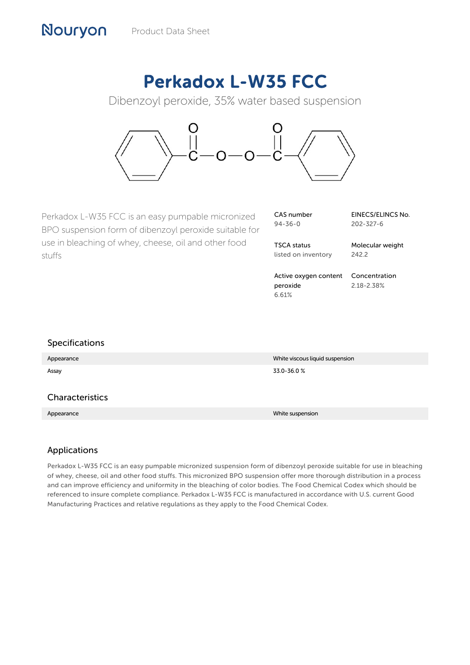# Perkadox L-W35 FCC

Dibenzoyl peroxide, 35% water based suspension



Perkadox L-W35 FCC is an easy pumpable micronized BPO suspension form of dibenzoyl peroxide suitable for use in bleaching of whey, cheese, oil and other food stuffs

| CAS number    |  |
|---------------|--|
| $94 - 36 - 0$ |  |

EINECS/ELINCS No. 202-327-6

TSCA status listed on inventory Molecular weight 242.2

Active oxygen content peroxide 6.61% Concentration 2.18-2.38%

| <b>Specifications</b> |                                 |
|-----------------------|---------------------------------|
| Appearance            | White viscous liquid suspension |
| Assay                 | 33.0-36.0%                      |
|                       |                                 |
| Characteristics       |                                 |
| Appearance            | White suspension                |
|                       |                                 |

## Applications

Nouryon

Perkadox L-W35 FCC is an easy pumpable micronized suspension form of dibenzoyl peroxide suitable for use in bleaching of whey, cheese, oil and other food stuffs. This micronized BPO suspension offer more thorough distribution in a process and can improve efficiency and uniformity in the bleaching of color bodies. The Food Chemical Codex which should be referenced to insure complete compliance. Perkadox L-W35 FCC is manufactured in accordance with U.S. current Good Manufacturing Practices and relative regulations as they apply to the Food Chemical Codex.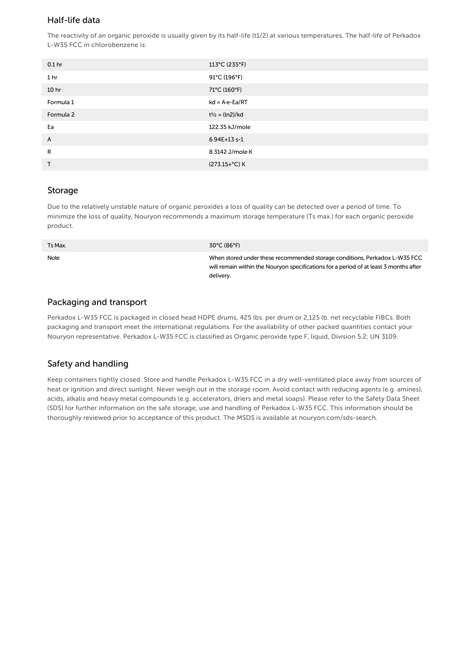## Half-life data

The reactivity of an organic peroxide is usually given by its half-life (t1/2) at various temperatures. The half-life of Perkadox L-W35 FCC in chlorobenzene is:

| 0.1 <sub>hr</sub> | 113°C (235°F)            |
|-------------------|--------------------------|
| 1 <sub>hr</sub>   | 91°C (196°F)             |
| 10 <sub>hr</sub>  | 71°C (160°F)             |
| Formula 1         | $kd = A \cdot e - Ea/RT$ |
| Formula 2         | $t^{1/2} = (ln2)/kd$     |
| Ea                | 122.35 kJ/mole           |
| A                 | 6.94E+13 s-1             |
| R                 | 8.3142 J/mole K          |
| $\mathsf{T}$      | (273.15+°C) K            |

#### **Storage**

Due to the relatively unstable nature of organic peroxides a loss of quality can be detected over a period of time. To minimize the loss of quality, Nouryon recommends a maximum storage temperature (Ts max.) for each organic peroxide product.

| Ts Max. | $30^{\circ}$ C (86 $^{\circ}$ F)                                                                                                                                                 |
|---------|----------------------------------------------------------------------------------------------------------------------------------------------------------------------------------|
| Note    | When stored under these recommended storage conditions, Perkadox L-W35 FCC<br>will remain within the Nouryon specifications for a period of at least 3 months after<br>delivery. |

#### Packaging and transport

Perkadox L-W35 FCC is packaged in closed head HDPE drums, 425 lbs. per drum or 2,125 lb. net recyclable FIBCs. Both packaging and transport meet the international regulations. For the availability of other packed quantities contact your Nouryon representative. Perkadox L-W35 FCC is classified as Organic peroxide type F, liquid, Division 5.2; UN 3109.

## Safety and handling

Keep containers tightly closed. Store and handle Perkadox L-W35 FCC in a dry well-ventilated place away from sources of heat or ignition and direct sunlight. Never weigh out in the storage room. Avoid contact with reducing agents (e.g. amines), acids, alkalis and heavy metal compounds (e.g. accelerators, driers and metal soaps). Please refer to the Safety Data Sheet (SDS) for further information on the safe storage, use and handling of Perkadox L-W35 FCC. This information should be thoroughly reviewed prior to acceptance of this product. The MSDS is available at nouryon.com/sds-search.